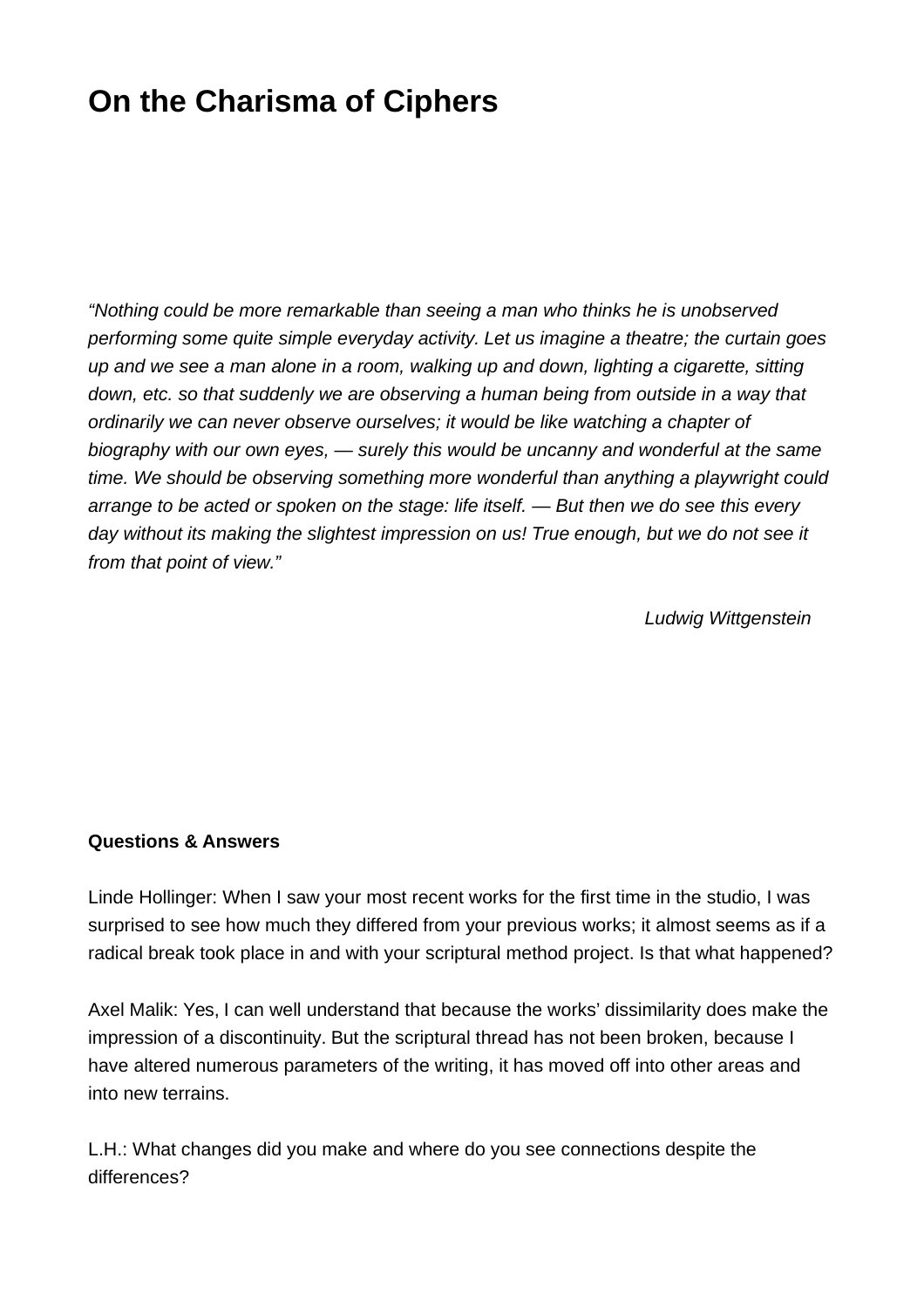## **On the Charisma of Ciphers**

"Nothing could be more remarkable than seeing a man who thinks he is unobserved performing some quite simple everyday activity. Let us imagine a theatre; the curtain goes up and we see a man alone in a room, walking up and down, lighting a cigarette, sitting down, etc. so that suddenly we are observing a human being from outside in a way that ordinarily we can never observe ourselves; it would be like watching a chapter of biography with our own eyes, — surely this would be uncanny and wonderful at the same time. We should be observing something more wonderful than anything a playwright could arrange to be acted or spoken on the stage: life itself. — But then we do see this every day without its making the slightest impression on us! True enough, but we do not see it from that point of view."

Ludwig Wittgenstein

## **Questions & Answers**

Linde Hollinger: When I saw your most recent works for the first time in the studio, I was surprised to see how much they differed from your previous works; it almost seems as if a radical break took place in and with your scriptural method project. Is that what happened?

Axel Malik: Yes, I can well understand that because the works' dissimilarity does make the impression of a discontinuity. But the scriptural thread has not been broken, because I have altered numerous parameters of the writing, it has moved off into other areas and into new terrains.

L.H.: What changes did you make and where do you see connections despite the differences?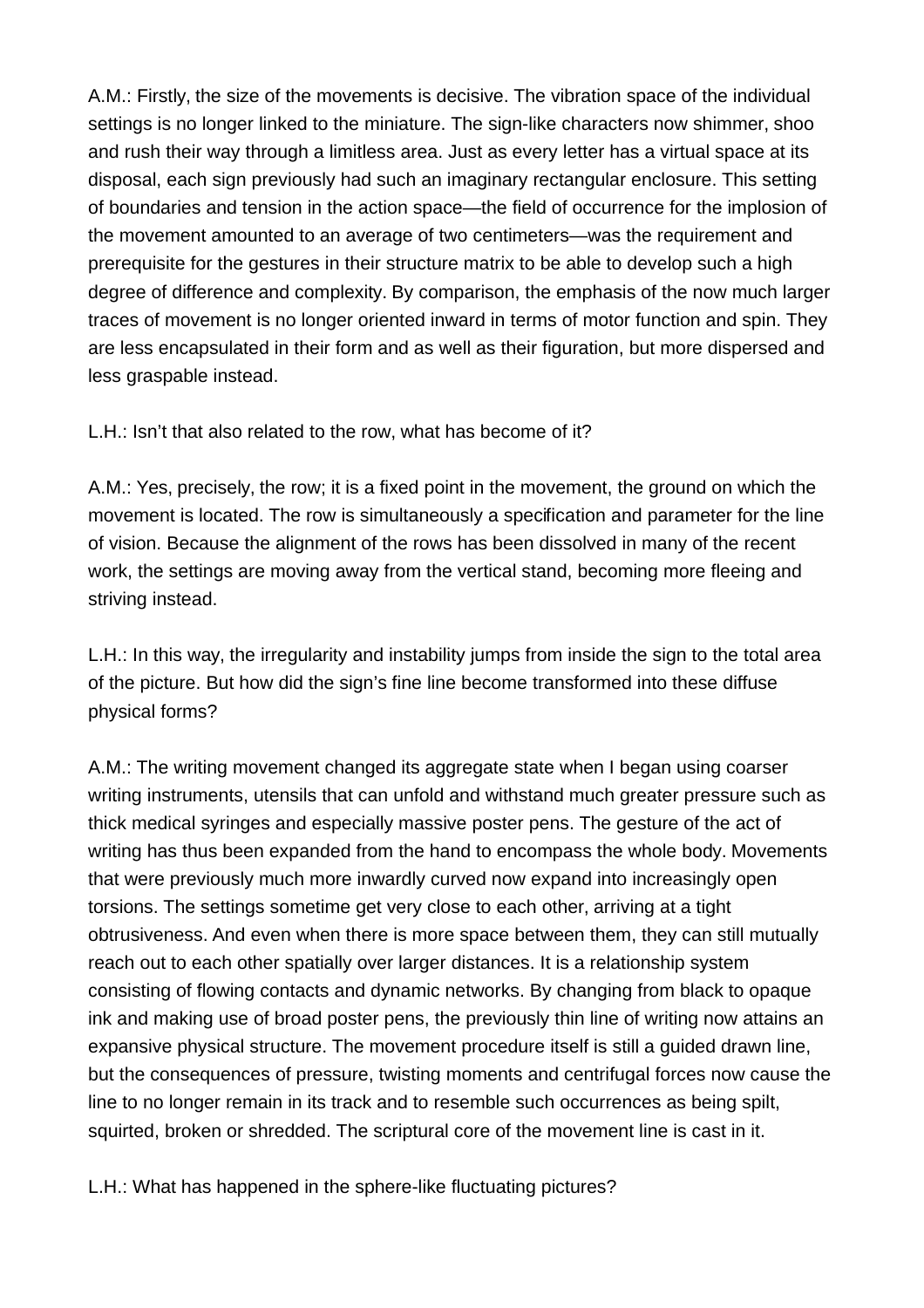A.M.: Firstly, the size of the movements is decisive. The vibration space of the individual settings is no longer linked to the miniature. The sign-like characters now shimmer, shoo and rush their way through a limitless area. Just as every letter has a virtual space at its disposal, each sign previously had such an imaginary rectangular enclosure. This setting of boundaries and tension in the action space—the field of occurrence for the implosion of the movement amounted to an average of two centimeters—was the requirement and prerequisite for the gestures in their structure matrix to be able to develop such a high degree of difference and complexity. By comparison, the emphasis of the now much larger traces of movement is no longer oriented inward in terms of motor function and spin. They are less encapsulated in their form and as well as their figuration, but more dispersed and less graspable instead.

L.H.: Isn't that also related to the row, what has become of it?

A.M.: Yes, precisely, the row; it is a fixed point in the movement, the ground on which the movement is located. The row is simultaneously a specification and parameter for the line of vision. Because the alignment of the rows has been dissolved in many of the recent work, the settings are moving away from the vertical stand, becoming more fleeing and striving instead.

L.H.: In this way, the irregularity and instability jumps from inside the sign to the total area of the picture. But how did the sign's fine line become transformed into these diffuse physical forms?

A.M.: The writing movement changed its aggregate state when I began using coarser writing instruments, utensils that can unfold and withstand much greater pressure such as thick medical syringes and especially massive poster pens. The gesture of the act of writing has thus been expanded from the hand to encompass the whole body. Movements that were previously much more inwardly curved now expand into increasingly open torsions. The settings sometime get very close to each other, arriving at a tight obtrusiveness. And even when there is more space between them, they can still mutually reach out to each other spatially over larger distances. It is a relationship system consisting of flowing contacts and dynamic networks. By changing from black to opaque ink and making use of broad poster pens, the previously thin line of writing now attains an expansive physical structure. The movement procedure itself is still a guided drawn line, but the consequences of pressure, twisting moments and centrifugal forces now cause the line to no longer remain in its track and to resemble such occurrences as being spilt, squirted, broken or shredded. The scriptural core of the movement line is cast in it.

L.H.: What has happened in the sphere-like fluctuating pictures?